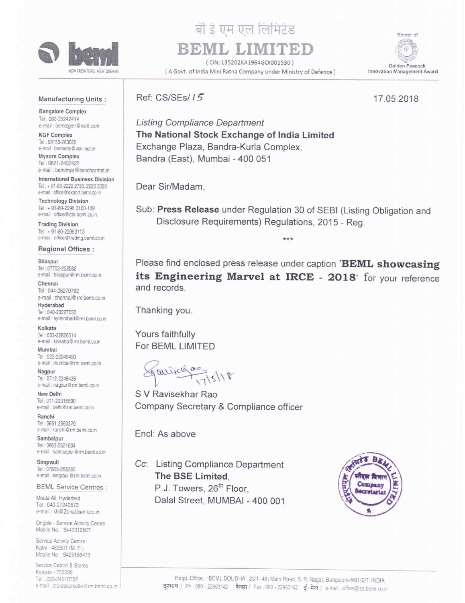

## बी ई एम एल लिमिटेड<br>'

(ClN: L35202KA1964GO|001530l

Minner of G Golden Peacock Innovation Management Award

## Manufacturing Units :

Bangalore Complex Tel: 080-25242414 e-mail : bemlcgmr@vsnl.com

KGF Complex Tel: 08153-263020 e-mail : bemlede@vsnl.net.in Mysore Complex

Tel: 0821-2402422 e-mail : bemlmys@sancharmet.in

International Business Division Tel : <sup>+</sup> 91-30-2222 2730. 223 3350 e-mail : office@export.beml.co.in

Technology Division Tel: + 91-80-2296 3100-109 e-mail : office@ctd.beml.co.in

Trading Division Tel: + 91-80-22963113 e-mail office@trading.beml.co.in

Regional Offices : Bilaspur

Tel: 07752-252082 e-mail bilaspur@rm.beml.co.in

Chennai Tel: 044-28270792 e-mail : chennai@rm.beml.co.in

Hyderabad Tel: 040-23227032 e-mail : hyderabad@rm.beml.co.in

Kolkala Tel ' 03322826314 e-mail : kolkatta@rm.beml.co.in

Mumbai Tel: 022-22049490 e-mail : mumbai@rm.beml.co.in

Nagpur lel: 0712-2248435 e-mail : nagpur@rm.beml.co.in

New Delhi Tel: 011-23316500 e-mail : delhi@rm.beml.co.in

Ranchi Te' 0551-2560370 e-mail : ranchi@rm.beml.co.in

Sambalpur Tel: 0663-2521604 e-mail : sambalpur@rm.beml.co.in

Singrauli Tel: 07805-268260 e-mail : singrauli@rm.beml.co.in

BEML Service Centres :

Moula Ali, Hyderbad Tel: 040-27240873 e-mail : sh@Zonal.beml.co.in

Ongole - Service Activity Centre Mobile No.: 9440312607

Service Activity Centre Katni - 483501 (M. P.) Mobile No.: 9425156473

Service Centre & Stores Kolkata - 700088 Tel: 033-24010782  $\frac{1}{2}$ rm.beml.co.in  $\frac{1}{2}$  ( A Govt. of India Mini Ratna Company under Ministry of Defence)

BEML LIM

Ref: CS/SEs/ 15 17.05 2018

Listing Compliance Department The National Stock Exchange of India Limited Exchange Plaza, Bandra-Kurla Complex, Bandra (East), Mumbai - 400 051

Dear Sir/Madam,

Sub: Press Release under Regulation <sup>30</sup> of SEBI (Listing Obligation and Disclosure Requirements) Regulations, 2015 — Regl

 $+ + +$ 

Please find enclosed press release under caption 'BEML showcasing its Engineering Marvel at IRCE - 2018' for your reference and records.

Thanking you.

Yours faithfully For BEML LIMITED

 $\sqrt{\frac{9011640000}{17518}}$ 

S V Ravisekhar Rao Company Secretary & Compliance officer

Encl: As above

Cc: Listing Compliance Department The BSE Limited, P.J. Towers, 26<sup>th</sup> Floor, Dalal Street, MUMBAI — 400 001